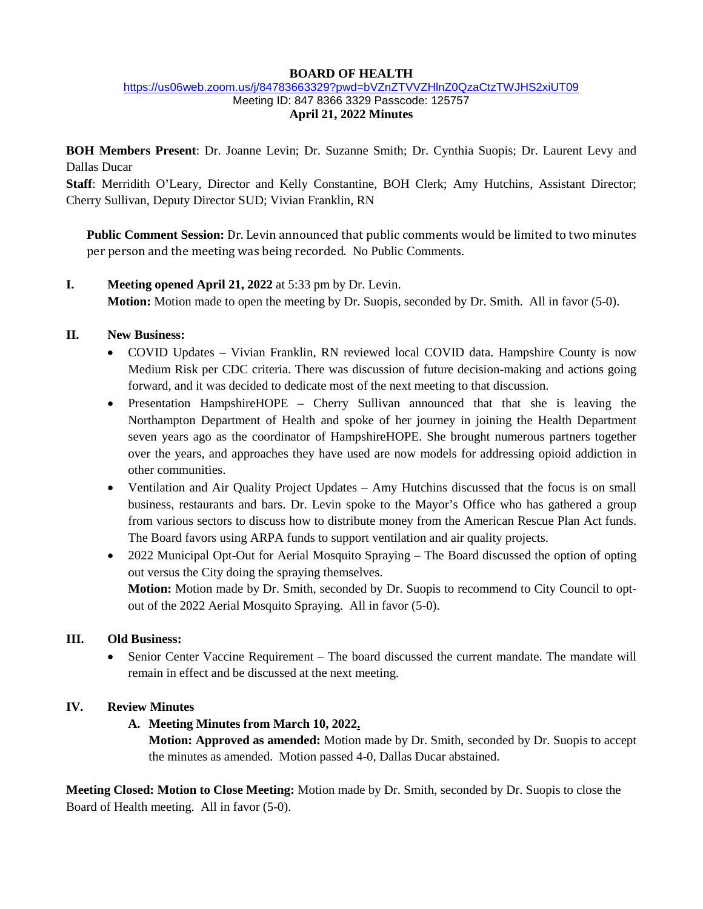#### **BOARD OF HEALTH**

#### <https://us06web.zoom.us/j/84783663329?pwd=bVZnZTVVZHlnZ0QzaCtzTWJHS2xiUT09> Meeting ID: 847 8366 3329 Passcode: 125757 **April 21, 2022 Minutes**

**BOH Members Present**: Dr. Joanne Levin; Dr. Suzanne Smith; Dr. Cynthia Suopis; Dr. Laurent Levy and Dallas Ducar

**Staff**: Merridith O'Leary, Director and Kelly Constantine, BOH Clerk; Amy Hutchins, Assistant Director; Cherry Sullivan, Deputy Director SUD; Vivian Franklin, RN

**Public Comment Session:** Dr. Levin announced that public comments would be limited to two minutes per person and the meeting was being recorded. No Public Comments.

- **I. Meeting opened April 21, 2022** at 5:33 pm by Dr. Levin. **Motion:** Motion made to open the meeting by Dr. Suopis, seconded by Dr. Smith. All in favor (5-0).
- **II. New Business:**
	- COVID Updates Vivian Franklin, RN reviewed local COVID data. Hampshire County is now Medium Risk per CDC criteria. There was discussion of future decision-making and actions going forward, and it was decided to dedicate most of the next meeting to that discussion.
	- Presentation HampshireHOPE Cherry Sullivan announced that that she is leaving the Northampton Department of Health and spoke of her journey in joining the Health Department seven years ago as the coordinator of HampshireHOPE. She brought numerous partners together over the years, and approaches they have used are now models for addressing opioid addiction in other communities.
	- Ventilation and Air Quality Project Updates Amy Hutchins discussed that the focus is on small business, restaurants and bars. Dr. Levin spoke to the Mayor's Office who has gathered a group from various sectors to discuss how to distribute money from the American Rescue Plan Act funds. The Board favors using ARPA funds to support ventilation and air quality projects.
	- 2022 Municipal Opt-Out for Aerial Mosquito Spraying The Board discussed the option of opting out versus the City doing the spraying themselves. **Motion:** Motion made by Dr. Smith, seconded by Dr. Suopis to recommend to City Council to optout of the 2022 Aerial Mosquito Spraying. All in favor (5-0).

## **III. Old Business:**

• Senior Center Vaccine Requirement – The board discussed the current mandate. The mandate will remain in effect and be discussed at the next meeting.

## **IV. Review Minutes**

## **A. Meeting Minutes from March 10, 2022.**

**Motion: Approved as amended:** Motion made by Dr. Smith, seconded by Dr. Suopis to accept the minutes as amended. Motion passed 4-0, Dallas Ducar abstained.

**Meeting Closed: Motion to Close Meeting:** Motion made by Dr. Smith, seconded by Dr. Suopis to close the Board of Health meeting. All in favor (5-0).